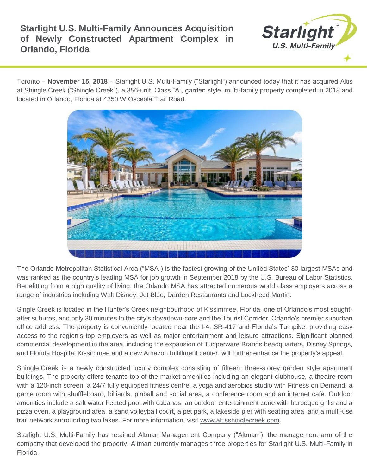## **Starlight U.S. Multi-Family Announces Acquisition of Newly Constructed Apartment Complex in Orlando, Florida**



Toronto – **November 15, 2018** – Starlight U.S. Multi-Family ("Starlight") announced today that it has acquired Altis at Shingle Creek ("Shingle Creek"), a 356-unit, Class "A", garden style, multi-family property completed in 2018 and located in Orlando, Florida at 4350 W Osceola Trail Road.



The Orlando Metropolitan Statistical Area ("MSA") is the fastest growing of the United States' 30 largest MSAs and was ranked as the country's leading MSA for job growth in September 2018 by the U.S. Bureau of Labor Statistics. Benefitting from a high quality of living, the Orlando MSA has attracted numerous world class employers across a range of industries including Walt Disney, Jet Blue, Darden Restaurants and Lockheed Martin.

Single Creek is located in the Hunter's Creek neighbourhood of Kissimmee, Florida, one of Orlando's most soughtafter suburbs, and only 30 minutes to the city's downtown-core and the Tourist Corridor, Orlando's premier suburban office address. The property is conveniently located near the I-4, SR-417 and Florida's Turnpike, providing easy access to the region's top employers as well as major entertainment and leisure attractions. Significant planned commercial development in the area, including the expansion of Tupperware Brands headquarters, Disney Springs, and Florida Hospital Kissimmee and a new Amazon fulfillment center, will further enhance the property's appeal.

Shingle Creek is a newly constructed luxury complex consisting of fifteen, three-storey garden style apartment buildings. The property offers tenants top of the market amenities including an elegant clubhouse, a theatre room with a 120-inch screen, a 24/7 fully equipped fitness centre, a yoga and aerobics studio with Fitness on Demand, a game room with shuffleboard, billiards, pinball and social area, a conference room and an internet café. Outdoor amenities include a salt water heated pool with cabanas, an outdoor entertainment zone with barbeque grills and a pizza oven, a playground area, a sand volleyball court, a pet park, a lakeside pier with seating area, and a multi-use trail network surrounding two lakes. For more information, visit [www.altisshinglecreek.com.](http://www.altisshinglecreek.com/)

Starlight U.S. Multi-Family has retained Altman Management Company ("Altman"), the management arm of the company that developed the property. Altman currently manages three properties for Starlight U.S. Multi-Family in Florida.